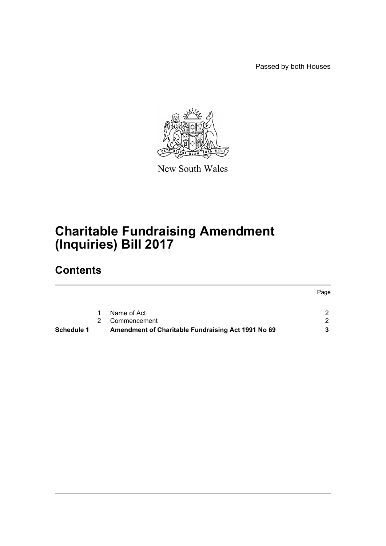Passed by both Houses



New South Wales

# **Charitable Fundraising Amendment (Inquiries) Bill 2017**

# **Contents**

|                   |                                                    | Page |
|-------------------|----------------------------------------------------|------|
|                   |                                                    |      |
|                   | Name of Act                                        |      |
|                   | Commencement                                       | - 20 |
| <b>Schedule 1</b> | Amendment of Charitable Fundraising Act 1991 No 69 |      |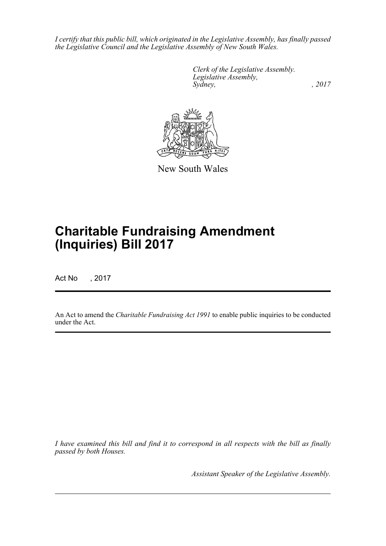*I certify that this public bill, which originated in the Legislative Assembly, has finally passed the Legislative Council and the Legislative Assembly of New South Wales.*

> *Clerk of the Legislative Assembly. Legislative Assembly, Sydney,* , 2017



New South Wales

# **Charitable Fundraising Amendment (Inquiries) Bill 2017**

Act No , 2017

An Act to amend the *Charitable Fundraising Act 1991* to enable public inquiries to be conducted under the Act.

*I have examined this bill and find it to correspond in all respects with the bill as finally passed by both Houses.*

*Assistant Speaker of the Legislative Assembly.*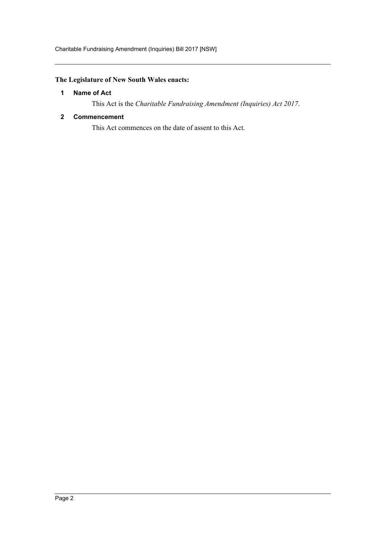# <span id="page-2-0"></span>**The Legislature of New South Wales enacts:**

# **1 Name of Act**

This Act is the *Charitable Fundraising Amendment (Inquiries) Act 2017*.

### <span id="page-2-1"></span>**2 Commencement**

This Act commences on the date of assent to this Act.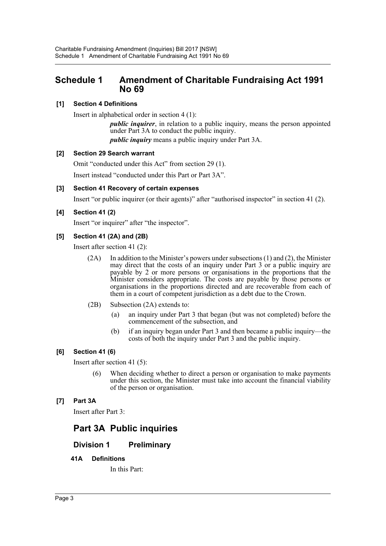# <span id="page-3-0"></span>**Schedule 1 Amendment of Charitable Fundraising Act 1991 No 69**

# **[1] Section 4 Definitions**

Insert in alphabetical order in section 4 (1):

*public inquirer*, in relation to a public inquiry, means the person appointed under Part 3A to conduct the public inquiry. *public inquiry* means a public inquiry under Part 3A.

# **[2] Section 29 Search warrant**

Omit "conducted under this Act" from section 29 (1).

Insert instead "conducted under this Part or Part 3A".

#### **[3] Section 41 Recovery of certain expenses**

Insert "or public inquirer (or their agents)" after "authorised inspector" in section 41 (2).

# **[4] Section 41 (2)**

Insert "or inquirer" after "the inspector".

#### **[5] Section 41 (2A) and (2B)**

Insert after section 41 (2):

- $(2A)$  In addition to the Minister's powers under subsections  $(1)$  and  $(2)$ , the Minister may direct that the costs of an inquiry under Part 3 or a public inquiry are payable by 2 or more persons or organisations in the proportions that the Minister considers appropriate. The costs are payable by those persons or organisations in the proportions directed and are recoverable from each of them in a court of competent jurisdiction as a debt due to the Crown.
- (2B) Subsection (2A) extends to:
	- (a) an inquiry under Part 3 that began (but was not completed) before the commencement of the subsection, and
	- (b) if an inquiry began under Part 3 and then became a public inquiry—the costs of both the inquiry under Part 3 and the public inquiry.

# **[6] Section 41 (6)**

Insert after section 41 (5):

(6) When deciding whether to direct a person or organisation to make payments under this section, the Minister must take into account the financial viability of the person or organisation.

# **[7] Part 3A**

Insert after Part 3:

# **Part 3A Public inquiries**

# **Division 1 Preliminary**

#### **41A Definitions**

In this Part: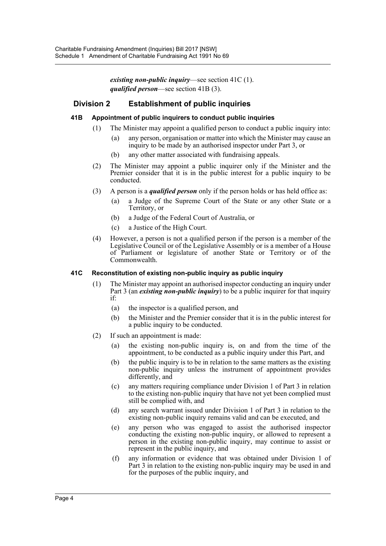*existing non-public inquiry*—see section 41C (1). *qualified person*—see section 41B (3).

# **Division 2 Establishment of public inquiries**

#### **41B Appointment of public inquirers to conduct public inquiries**

- (1) The Minister may appoint a qualified person to conduct a public inquiry into:
	- (a) any person, organisation or matter into which the Minister may cause an inquiry to be made by an authorised inspector under Part 3, or
	- (b) any other matter associated with fundraising appeals.
- (2) The Minister may appoint a public inquirer only if the Minister and the Premier consider that it is in the public interest for a public inquiry to be conducted.
- (3) A person is a *qualified person* only if the person holds or has held office as:
	- (a) a Judge of the Supreme Court of the State or any other State or a Territory, or
	- (b) a Judge of the Federal Court of Australia, or
	- (c) a Justice of the High Court.
- (4) However, a person is not a qualified person if the person is a member of the Legislative Council or of the Legislative Assembly or is a member of a House of Parliament or legislature of another State or Territory or of the Commonwealth.

#### **41C Reconstitution of existing non-public inquiry as public inquiry**

- (1) The Minister may appoint an authorised inspector conducting an inquiry under Part 3 (an *existing non-public inquiry*) to be a public inquirer for that inquiry if:
	- (a) the inspector is a qualified person, and
	- (b) the Minister and the Premier consider that it is in the public interest for a public inquiry to be conducted.
- (2) If such an appointment is made:
	- (a) the existing non-public inquiry is, on and from the time of the appointment, to be conducted as a public inquiry under this Part, and
	- (b) the public inquiry is to be in relation to the same matters as the existing non-public inquiry unless the instrument of appointment provides differently, and
	- (c) any matters requiring compliance under Division 1 of Part 3 in relation to the existing non-public inquiry that have not yet been complied must still be complied with, and
	- (d) any search warrant issued under Division 1 of Part 3 in relation to the existing non-public inquiry remains valid and can be executed, and
	- (e) any person who was engaged to assist the authorised inspector conducting the existing non-public inquiry, or allowed to represent a person in the existing non-public inquiry, may continue to assist or represent in the public inquiry, and
	- (f) any information or evidence that was obtained under Division 1 of Part 3 in relation to the existing non-public inquiry may be used in and for the purposes of the public inquiry, and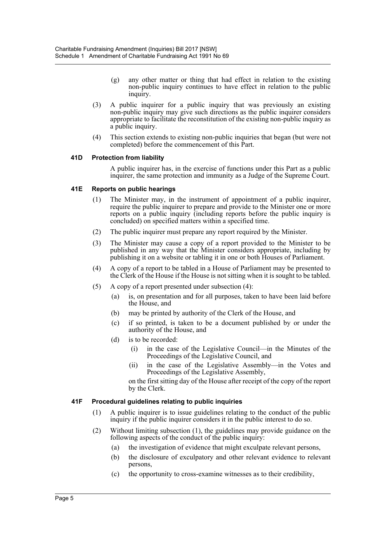- (g) any other matter or thing that had effect in relation to the existing non-public inquiry continues to have effect in relation to the public inquiry.
- (3) A public inquirer for a public inquiry that was previously an existing non-public inquiry may give such directions as the public inquirer considers appropriate to facilitate the reconstitution of the existing non-public inquiry as a public inquiry.
- (4) This section extends to existing non-public inquiries that began (but were not completed) before the commencement of this Part.

#### **41D Protection from liability**

A public inquirer has, in the exercise of functions under this Part as a public inquirer, the same protection and immunity as a Judge of the Supreme Court.

#### **41E Reports on public hearings**

- (1) The Minister may, in the instrument of appointment of a public inquirer, require the public inquirer to prepare and provide to the Minister one or more reports on a public inquiry (including reports before the public inquiry is concluded) on specified matters within a specified time.
- (2) The public inquirer must prepare any report required by the Minister.
- (3) The Minister may cause a copy of a report provided to the Minister to be published in any way that the Minister considers appropriate, including by publishing it on a website or tabling it in one or both Houses of Parliament.
- (4) A copy of a report to be tabled in a House of Parliament may be presented to the Clerk of the House if the House is not sitting when it is sought to be tabled.
- (5) A copy of a report presented under subsection (4):
	- (a) is, on presentation and for all purposes, taken to have been laid before the House, and
	- (b) may be printed by authority of the Clerk of the House, and
	- (c) if so printed, is taken to be a document published by or under the authority of the House, and
	- (d) is to be recorded:
		- (i) in the case of the Legislative Council—in the Minutes of the Proceedings of the Legislative Council, and
		- (ii) in the case of the Legislative Assembly—in the Votes and Proceedings of the Legislative Assembly,

on the first sitting day of the House after receipt of the copy of the report by the Clerk.

#### **41F Procedural guidelines relating to public inquiries**

- (1) A public inquirer is to issue guidelines relating to the conduct of the public inquiry if the public inquirer considers it in the public interest to do so.
- (2) Without limiting subsection (1), the guidelines may provide guidance on the following aspects of the conduct of the public inquiry:
	- (a) the investigation of evidence that might exculpate relevant persons,
	- (b) the disclosure of exculpatory and other relevant evidence to relevant persons,
	- (c) the opportunity to cross-examine witnesses as to their credibility,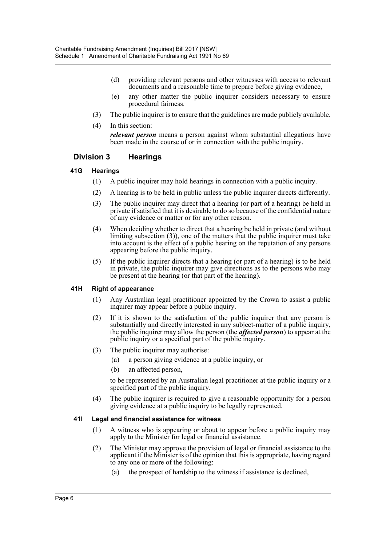- (d) providing relevant persons and other witnesses with access to relevant documents and a reasonable time to prepare before giving evidence,
- (e) any other matter the public inquirer considers necessary to ensure procedural fairness.
- (3) The public inquirer is to ensure that the guidelines are made publicly available.
- (4) In this section:

*relevant person* means a person against whom substantial allegations have been made in the course of or in connection with the public inquiry.

#### **Division 3 Hearings**

#### **41G Hearings**

- (1) A public inquirer may hold hearings in connection with a public inquiry.
- (2) A hearing is to be held in public unless the public inquirer directs differently.
- (3) The public inquirer may direct that a hearing (or part of a hearing) be held in private if satisfied that it is desirable to do so because of the confidential nature of any evidence or matter or for any other reason.
- (4) When deciding whether to direct that a hearing be held in private (and without limiting subsection (3)), one of the matters that the public inquirer must take into account is the effect of a public hearing on the reputation of any persons appearing before the public inquiry.
- (5) If the public inquirer directs that a hearing (or part of a hearing) is to be held in private, the public inquirer may give directions as to the persons who may be present at the hearing (or that part of the hearing).

#### **41H Right of appearance**

- (1) Any Australian legal practitioner appointed by the Crown to assist a public inquirer may appear before a public inquiry.
- (2) If it is shown to the satisfaction of the public inquirer that any person is substantially and directly interested in any subject-matter of a public inquiry, the public inquirer may allow the person (the *affected person*) to appear at the public inquiry or a specified part of the public inquiry.
- (3) The public inquirer may authorise:
	- (a) a person giving evidence at a public inquiry, or
	- (b) an affected person,

to be represented by an Australian legal practitioner at the public inquiry or a specified part of the public inquiry.

(4) The public inquirer is required to give a reasonable opportunity for a person giving evidence at a public inquiry to be legally represented.

#### **41I Legal and financial assistance for witness**

- (1) A witness who is appearing or about to appear before a public inquiry may apply to the Minister for legal or financial assistance.
- (2) The Minister may approve the provision of legal or financial assistance to the applicant if the Minister is of the opinion that this is appropriate, having regard to any one or more of the following:
	- (a) the prospect of hardship to the witness if assistance is declined,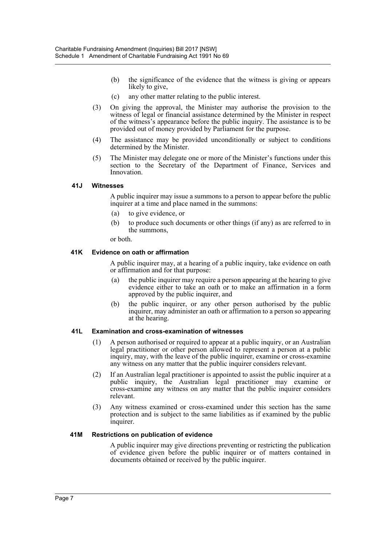- (b) the significance of the evidence that the witness is giving or appears likely to give,
- (c) any other matter relating to the public interest.
- (3) On giving the approval, the Minister may authorise the provision to the witness of legal or financial assistance determined by the Minister in respect of the witness's appearance before the public inquiry. The assistance is to be provided out of money provided by Parliament for the purpose.
- (4) The assistance may be provided unconditionally or subject to conditions determined by the Minister.
- (5) The Minister may delegate one or more of the Minister's functions under this section to the Secretary of the Department of Finance, Services and Innovation.

#### **41J Witnesses**

A public inquirer may issue a summons to a person to appear before the public inquirer at a time and place named in the summons:

- (a) to give evidence, or
- (b) to produce such documents or other things (if any) as are referred to in the summons,

or both.

#### **41K Evidence on oath or affirmation**

A public inquirer may, at a hearing of a public inquiry, take evidence on oath or affirmation and for that purpose:

- (a) the public inquirer may require a person appearing at the hearing to give evidence either to take an oath or to make an affirmation in a form approved by the public inquirer, and
- (b) the public inquirer, or any other person authorised by the public inquirer, may administer an oath or affirmation to a person so appearing at the hearing.

#### **41L Examination and cross-examination of witnesses**

- (1) A person authorised or required to appear at a public inquiry, or an Australian legal practitioner or other person allowed to represent a person at a public inquiry, may, with the leave of the public inquirer, examine or cross-examine any witness on any matter that the public inquirer considers relevant.
- (2) If an Australian legal practitioner is appointed to assist the public inquirer at a public inquiry, the Australian legal practitioner may examine or cross-examine any witness on any matter that the public inquirer considers relevant.
- (3) Any witness examined or cross-examined under this section has the same protection and is subject to the same liabilities as if examined by the public inquirer.

#### **41M Restrictions on publication of evidence**

A public inquirer may give directions preventing or restricting the publication of evidence given before the public inquirer or of matters contained in documents obtained or received by the public inquirer.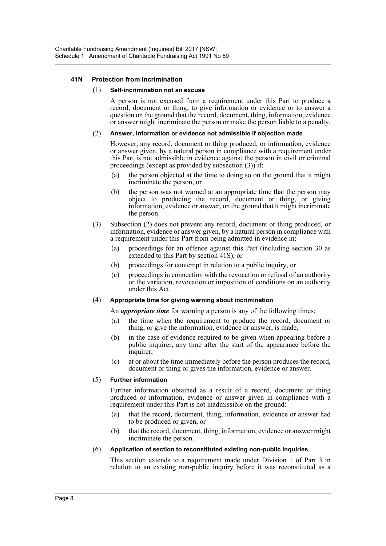#### **41N Protection from incrimination**

#### (1) **Self-incrimination not an excuse**

A person is not excused from a requirement under this Part to produce a record, document or thing, to give information or evidence or to answer a question on the ground that the record, document, thing, information, evidence or answer might incriminate the person or make the person liable to a penalty.

#### (2) **Answer, information or evidence not admissible if objection made**

However, any record, document or thing produced, or information, evidence or answer given, by a natural person in compliance with a requirement under this Part is not admissible in evidence against the person in civil or criminal proceedings (except as provided by subsection (3)) if:

- (a) the person objected at the time to doing so on the ground that it might incriminate the person, or
- (b) the person was not warned at an appropriate time that the person may object to producing the record, document or thing, or giving information, evidence or answer, on the ground that it might incriminate the person.
- (3) Subsection (2) does not prevent any record, document or thing produced, or information, evidence or answer given, by a natural person in compliance with a requirement under this Part from being admitted in evidence in:
	- (a) proceedings for an offence against this Part (including section 30 as extended to this Part by section 41S), or
	- (b) proceedings for contempt in relation to a public inquiry, or
	- (c) proceedings in connection with the revocation or refusal of an authority or the variation, revocation or imposition of conditions on an authority under this Act.

#### (4) **Appropriate time for giving warning about incrimination**

An *appropriate time* for warning a person is any of the following times:

- (a) the time when the requirement to produce the record, document or thing, or give the information, evidence or answer, is made,
- (b) in the case of evidence required to be given when appearing before a public inquirer, any time after the start of the appearance before the inquirer,
- (c) at or about the time immediately before the person produces the record, document or thing or gives the information, evidence or answer.

#### (5) **Further information**

Further information obtained as a result of a record, document or thing produced or information, evidence or answer given in compliance with a requirement under this Part is not inadmissible on the ground:

- (a) that the record, document, thing, information, evidence or answer had to be produced or given, or
- (b) that the record, document, thing, information, evidence or answer might incriminate the person.

#### (6) **Application of section to reconstituted existing non-public inquiries**

This section extends to a requirement made under Division 1 of Part 3 in relation to an existing non-public inquiry before it was reconstituted as a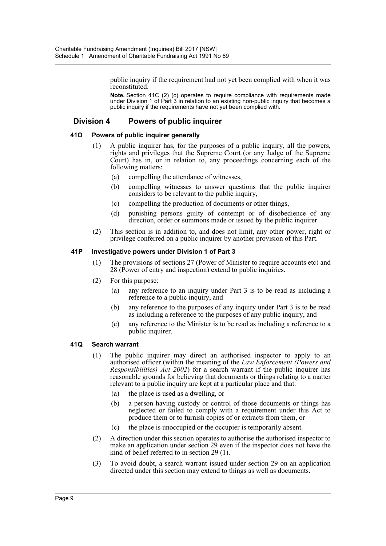public inquiry if the requirement had not yet been complied with when it was reconstituted.

**Note.** Section 41C (2) (c) operates to require compliance with requirements made under Division 1 of Part 3 in relation to an existing non-public inquiry that becomes a public inquiry if the requirements have not yet been complied with.

# **Division 4 Powers of public inquirer**

#### **41O Powers of public inquirer generally**

- (1) A public inquirer has, for the purposes of a public inquiry, all the powers, rights and privileges that the Supreme Court (or any Judge of the Supreme Court) has in, or in relation to, any proceedings concerning each of the following matters:
	- (a) compelling the attendance of witnesses,
	- (b) compelling witnesses to answer questions that the public inquirer considers to be relevant to the public inquiry,
	- (c) compelling the production of documents or other things,
	- (d) punishing persons guilty of contempt or of disobedience of any direction, order or summons made or issued by the public inquirer.
- (2) This section is in addition to, and does not limit, any other power, right or privilege conferred on a public inquirer by another provision of this Part.

#### **41P Investigative powers under Division 1 of Part 3**

- (1) The provisions of sections 27 (Power of Minister to require accounts etc) and 28 (Power of entry and inspection) extend to public inquiries.
- (2) For this purpose:
	- (a) any reference to an inquiry under Part 3 is to be read as including a reference to a public inquiry, and
	- (b) any reference to the purposes of any inquiry under Part 3 is to be read as including a reference to the purposes of any public inquiry, and
	- (c) any reference to the Minister is to be read as including a reference to a public inquirer.

#### **41Q Search warrant**

- (1) The public inquirer may direct an authorised inspector to apply to an authorised officer (within the meaning of the *Law Enforcement (Powers and Responsibilities) Act 2002*) for a search warrant if the public inquirer has reasonable grounds for believing that documents or things relating to a matter relevant to a public inquiry are kept at a particular place and that:
	- (a) the place is used as a dwelling, or
	- (b) a person having custody or control of those documents or things has neglected or failed to comply with a requirement under this Act to produce them or to furnish copies of or extracts from them, or
	- (c) the place is unoccupied or the occupier is temporarily absent.
- (2) A direction under this section operates to authorise the authorised inspector to make an application under section 29 even if the inspector does not have the kind of belief referred to in section 29 (1).
- (3) To avoid doubt, a search warrant issued under section 29 on an application directed under this section may extend to things as well as documents.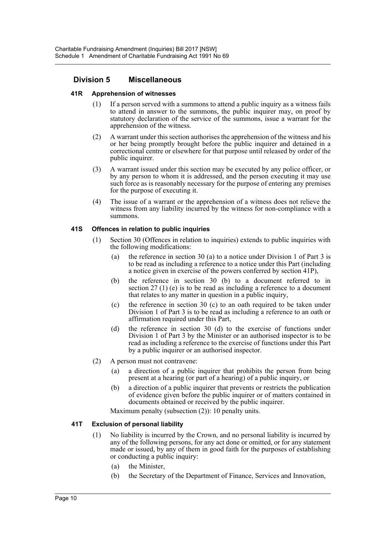# **Division 5 Miscellaneous**

#### **41R Apprehension of witnesses**

- (1) If a person served with a summons to attend a public inquiry as a witness fails to attend in answer to the summons, the public inquirer may, on proof by statutory declaration of the service of the summons, issue a warrant for the apprehension of the witness.
- (2) A warrant under this section authorises the apprehension of the witness and his or her being promptly brought before the public inquirer and detained in a correctional centre or elsewhere for that purpose until released by order of the public inquirer.
- (3) A warrant issued under this section may be executed by any police officer, or by any person to whom it is addressed, and the person executing it may use such force as is reasonably necessary for the purpose of entering any premises for the purpose of executing it.
- (4) The issue of a warrant or the apprehension of a witness does not relieve the witness from any liability incurred by the witness for non-compliance with a summons.

#### **41S Offences in relation to public inquiries**

- (1) Section 30 (Offences in relation to inquiries) extends to public inquiries with the following modifications:
	- (a) the reference in section 30 (a) to a notice under Division 1 of Part 3 is to be read as including a reference to a notice under this Part (including a notice given in exercise of the powers conferred by section 41P),
	- (b) the reference in section 30 (b) to a document referred to in section 27 (1) (e) is to be read as including a reference to a document that relates to any matter in question in a public inquiry,
	- (c) the reference in section 30 (c) to an oath required to be taken under Division 1 of Part 3 is to be read as including a reference to an oath or affirmation required under this Part,
	- (d) the reference in section 30 (d) to the exercise of functions under Division 1 of Part 3 by the Minister or an authorised inspector is to be read as including a reference to the exercise of functions under this Part by a public inquirer or an authorised inspector.
- (2) A person must not contravene:
	- (a) a direction of a public inquirer that prohibits the person from being present at a hearing (or part of a hearing) of a public inquiry, or
	- (b) a direction of a public inquirer that prevents or restricts the publication of evidence given before the public inquirer or of matters contained in documents obtained or received by the public inquirer.

Maximum penalty (subsection (2)): 10 penalty units.

# **41T Exclusion of personal liability**

- (1) No liability is incurred by the Crown, and no personal liability is incurred by any of the following persons, for any act done or omitted, or for any statement made or issued, by any of them in good faith for the purposes of establishing or conducting a public inquiry:
	- (a) the Minister,
	- (b) the Secretary of the Department of Finance, Services and Innovation,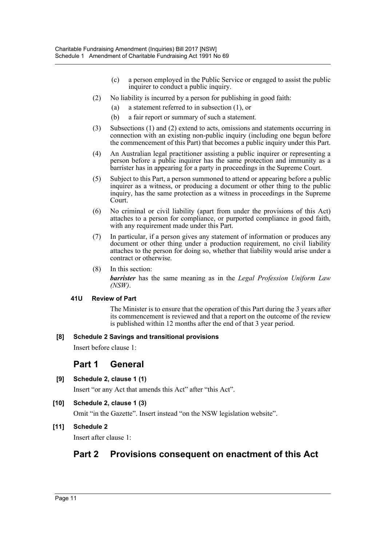- (c) a person employed in the Public Service or engaged to assist the public inquirer to conduct a public inquiry.
- (2) No liability is incurred by a person for publishing in good faith:
	- (a) a statement referred to in subsection (1), or
	- (b) a fair report or summary of such a statement.
- (3) Subsections (1) and (2) extend to acts, omissions and statements occurring in connection with an existing non-public inquiry (including one begun before the commencement of this Part) that becomes a public inquiry under this Part.
- (4) An Australian legal practitioner assisting a public inquirer or representing a person before a public inquirer has the same protection and immunity as a barrister has in appearing for a party in proceedings in the Supreme Court.
- (5) Subject to this Part, a person summoned to attend or appearing before a public inquirer as a witness, or producing a document or other thing to the public inquiry, has the same protection as a witness in proceedings in the Supreme Court.
- (6) No criminal or civil liability (apart from under the provisions of this Act) attaches to a person for compliance, or purported compliance in good faith, with any requirement made under this Part.
- (7) In particular, if a person gives any statement of information or produces any document or other thing under a production requirement, no civil liability attaches to the person for doing so, whether that liability would arise under a contract or otherwise.
- (8) In this section:

*barrister* has the same meaning as in the *Legal Profession Uniform Law (NSW)*.

#### **41U Review of Part**

The Minister is to ensure that the operation of this Part during the 3 years after its commencement is reviewed and that a report on the outcome of the review is published within 12 months after the end of that 3 year period.

# **[8] Schedule 2 Savings and transitional provisions**

Insert before clause 1:

# **Part 1 General**

**[9] Schedule 2, clause 1 (1)**

Insert "or any Act that amends this Act" after "this Act".

**[10] Schedule 2, clause 1 (3)**

Omit "in the Gazette". Insert instead "on the NSW legislation website".

# **[11] Schedule 2**

Insert after clause 1:

# **Part 2 Provisions consequent on enactment of this Act**